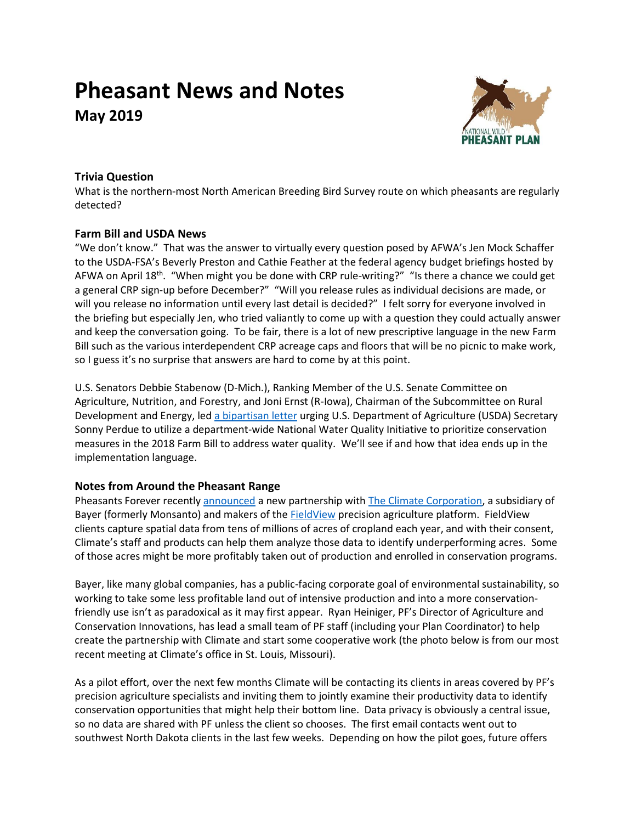# **Pheasant News and Notes May 2019**



## **Trivia Question**

What is the northern-most North American Breeding Bird Survey route on which pheasants are regularly detected?

## **Farm Bill and USDA News**

"We don't know." That was the answer to virtually every question posed by AFWA's Jen Mock Schaffer to the USDA-FSA's Beverly Preston and Cathie Feather at the federal agency budget briefings hosted by AFWA on April 18<sup>th</sup>. "When might you be done with CRP rule-writing?" "Is there a chance we could get a general CRP sign-up before December?" "Will you release rules as individual decisions are made, or will you release no information until every last detail is decided?" I felt sorry for everyone involved in the briefing but especially Jen, who tried valiantly to come up with a question they could actually answer and keep the conversation going. To be fair, there is a lot of new prescriptive language in the new Farm Bill such as the various interdependent CRP acreage caps and floors that will be no picnic to make work, so I guess it's no surprise that answers are hard to come by at this point.

U.S. Senators Debbie Stabenow (D-Mich.), Ranking Member of the U.S. Senate Committee on Agriculture, Nutrition, and Forestry, and Joni Ernst (R-Iowa), Chairman of the Subcommittee on Rural Development and Energy, led [a bipartisan letter](https://www.agriculture.senate.gov/imo/media/doc/19.04.17%20Letter%20to%20Sec.%20Perdue%20re%20NWQI%20updated.pdf) urging U.S. Department of Agriculture (USDA) Secretary Sonny Perdue to utilize a department-wide National Water Quality Initiative to prioritize conservation measures in the 2018 Farm Bill to address water quality. We'll see if and how that idea ends up in the implementation language.

## **Notes from Around the Pheasant Range**

Pheasants Forever recently [announced](http://link.pheasantsforever.org/m/1/64682413/02-t19115-cfdda64afd514f03a0c797a09a2811e0/1/1/1) a new partnership wit[h The Climate Corporation,](https://climate.com/about) a subsidiary of Bayer (formerly Monsanto) and makers of th[e FieldView](https://climate.com/) precision agriculture platform. FieldView clients capture spatial data from tens of millions of acres of cropland each year, and with their consent, Climate's staff and products can help them analyze those data to identify underperforming acres. Some of those acres might be more profitably taken out of production and enrolled in conservation programs.

Bayer, like many global companies, has a public-facing corporate goal of environmental sustainability, so working to take some less profitable land out of intensive production and into a more conservationfriendly use isn't as paradoxical as it may first appear. Ryan Heiniger, PF's Director of Agriculture and Conservation Innovations, has lead a small team of PF staff (including your Plan Coordinator) to help create the partnership with Climate and start some cooperative work (the photo below is from our most recent meeting at Climate's office in St. Louis, Missouri).

As a pilot effort, over the next few months Climate will be contacting its clients in areas covered by PF's precision agriculture specialists and inviting them to jointly examine their productivity data to identify conservation opportunities that might help their bottom line. Data privacy is obviously a central issue, so no data are shared with PF unless the client so chooses. The first email contacts went out to southwest North Dakota clients in the last few weeks. Depending on how the pilot goes, future offers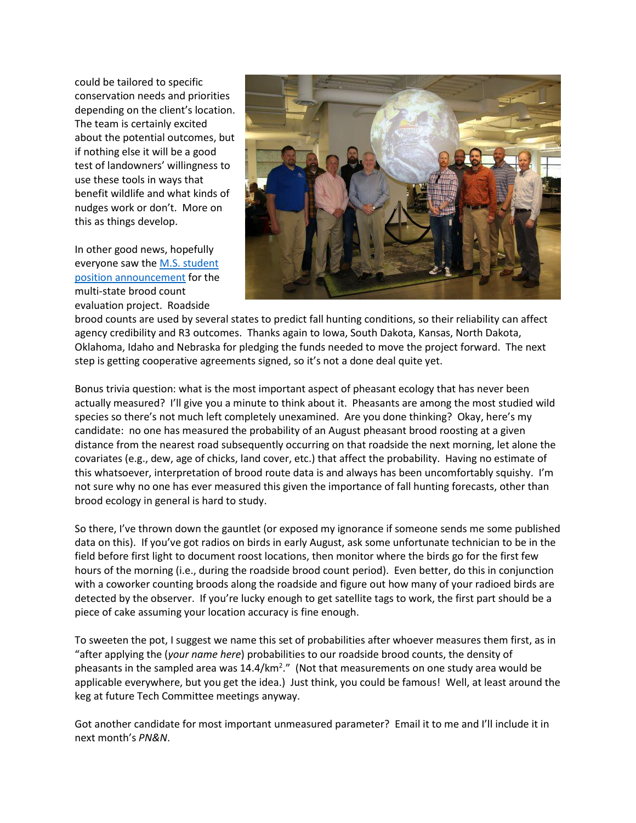could be tailored to specific conservation needs and priorities depending on the client's location. The team is certainly excited about the potential outcomes, but if nothing else it will be a good test of landowners' willingness to use these tools in ways that benefit wildlife and what kinds of nudges work or don't. More on this as things develop.

In other good news, hopefully everyone saw th[e M.S. student](https://wfscjobs.tamu.edu/jobs/ms-assistantship-ring-necked-pheasant-and-northern-bobwhite-monitoring-iowa/)  [position announcement](https://wfscjobs.tamu.edu/jobs/ms-assistantship-ring-necked-pheasant-and-northern-bobwhite-monitoring-iowa/) for the multi-state brood count evaluation project. Roadside



brood counts are used by several states to predict fall hunting conditions, so their reliability can affect agency credibility and R3 outcomes. Thanks again to Iowa, South Dakota, Kansas, North Dakota, Oklahoma, Idaho and Nebraska for pledging the funds needed to move the project forward. The next step is getting cooperative agreements signed, so it's not a done deal quite yet.

Bonus trivia question: what is the most important aspect of pheasant ecology that has never been actually measured? I'll give you a minute to think about it. Pheasants are among the most studied wild species so there's not much left completely unexamined. Are you done thinking? Okay, here's my candidate: no one has measured the probability of an August pheasant brood roosting at a given distance from the nearest road subsequently occurring on that roadside the next morning, let alone the covariates (e.g., dew, age of chicks, land cover, etc.) that affect the probability. Having no estimate of this whatsoever, interpretation of brood route data is and always has been uncomfortably squishy. I'm not sure why no one has ever measured this given the importance of fall hunting forecasts, other than brood ecology in general is hard to study.

So there, I've thrown down the gauntlet (or exposed my ignorance if someone sends me some published data on this). If you've got radios on birds in early August, ask some unfortunate technician to be in the field before first light to document roost locations, then monitor where the birds go for the first few hours of the morning (i.e., during the roadside brood count period). Even better, do this in conjunction with a coworker counting broods along the roadside and figure out how many of your radioed birds are detected by the observer. If you're lucky enough to get satellite tags to work, the first part should be a piece of cake assuming your location accuracy is fine enough.

To sweeten the pot, I suggest we name this set of probabilities after whoever measures them first, as in "after applying the (*your name here*) probabilities to our roadside brood counts, the density of pheasants in the sampled area was 14.4/km<sup>2</sup>." (Not that measurements on one study area would be applicable everywhere, but you get the idea.) Just think, you could be famous! Well, at least around the keg at future Tech Committee meetings anyway.

Got another candidate for most important unmeasured parameter? Email it to me and I'll include it in next month's *PN&N*.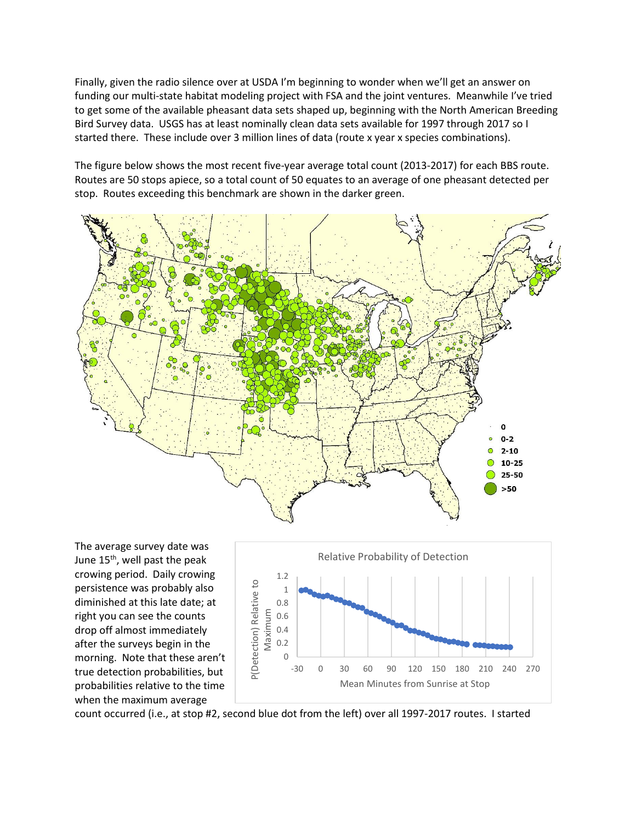Finally, given the radio silence over at USDA I'm beginning to wonder when we'll get an answer on funding our multi-state habitat modeling project with FSA and the joint ventures. Meanwhile I've tried to get some of the available pheasant data sets shaped up, beginning with the North American Breeding Bird Survey data. USGS has at least nominally clean data sets available for 1997 through 2017 so I started there. These include over 3 million lines of data (route x year x species combinations).

The figure below shows the most recent five-year average total count (2013-2017) for each BBS route. Routes are 50 stops apiece, so a total count of 50 equates to an average of one pheasant detected per stop. Routes exceeding this benchmark are shown in the darker green.



The average survey date was June 15<sup>th</sup>, well past the peak crowing period. Daily crowing persistence was probably also diminished at this late date; at right you can see the counts drop off almost immediately after the surveys begin in the morning. Note that these aren't true detection probabilities, but probabilities relative to the time when the maximum average



count occurred (i.e., at stop #2, second blue dot from the left) over all 1997-2017 routes. I started